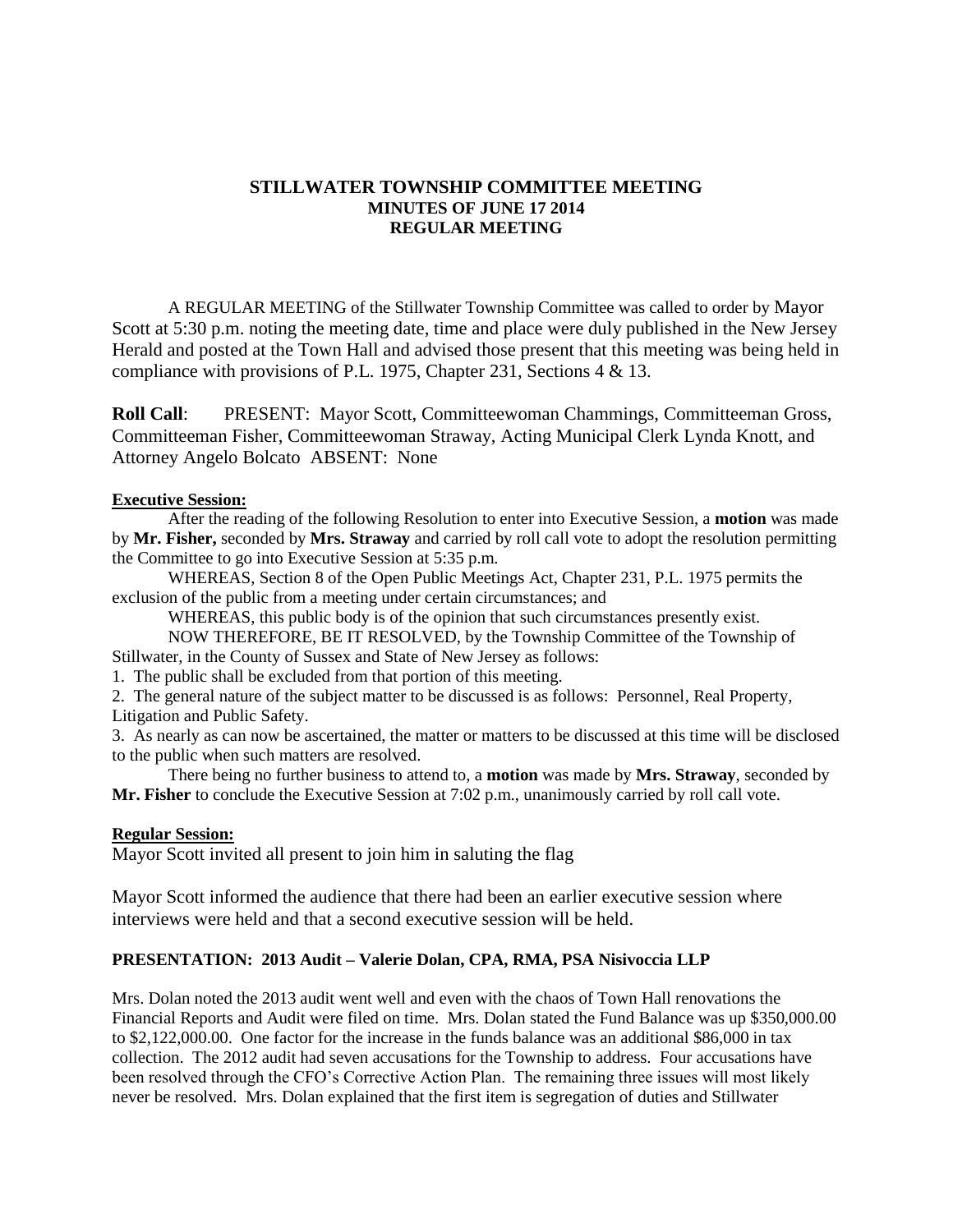## **STILLWATER TOWNSHIP COMMITTEE MEETING MINUTES OF JUNE 17 2014 REGULAR MEETING**

A REGULAR MEETING of the Stillwater Township Committee was called to order by Mayor Scott at 5:30 p.m. noting the meeting date, time and place were duly published in the New Jersey Herald and posted at the Town Hall and advised those present that this meeting was being held in compliance with provisions of P.L. 1975, Chapter 231, Sections 4 & 13.

**Roll Call**: PRESENT: Mayor Scott, Committeewoman Chammings, Committeeman Gross, Committeeman Fisher, Committeewoman Straway, Acting Municipal Clerk Lynda Knott, and Attorney Angelo Bolcato ABSENT: None

#### **Executive Session:**

After the reading of the following Resolution to enter into Executive Session, a **motion** was made by **Mr. Fisher,** seconded by **Mrs. Straway** and carried by roll call vote to adopt the resolution permitting the Committee to go into Executive Session at 5:35 p.m.

WHEREAS, Section 8 of the Open Public Meetings Act, Chapter 231, P.L. 1975 permits the exclusion of the public from a meeting under certain circumstances; and

WHEREAS, this public body is of the opinion that such circumstances presently exist.

NOW THEREFORE, BE IT RESOLVED, by the Township Committee of the Township of Stillwater, in the County of Sussex and State of New Jersey as follows:

1. The public shall be excluded from that portion of this meeting.

2. The general nature of the subject matter to be discussed is as follows: Personnel, Real Property, Litigation and Public Safety.

3. As nearly as can now be ascertained, the matter or matters to be discussed at this time will be disclosed to the public when such matters are resolved.

There being no further business to attend to, a **motion** was made by **Mrs. Straway**, seconded by **Mr. Fisher** to conclude the Executive Session at 7:02 p.m., unanimously carried by roll call vote.

#### **Regular Session:**

Mayor Scott invited all present to join him in saluting the flag

Mayor Scott informed the audience that there had been an earlier executive session where interviews were held and that a second executive session will be held.

### **PRESENTATION: 2013 Audit – Valerie Dolan, CPA, RMA, PSA Nisivoccia LLP**

Mrs. Dolan noted the 2013 audit went well and even with the chaos of Town Hall renovations the Financial Reports and Audit were filed on time. Mrs. Dolan stated the Fund Balance was up \$350,000.00 to \$2,122,000.00. One factor for the increase in the funds balance was an additional \$86,000 in tax collection. The 2012 audit had seven accusations for the Township to address. Four accusations have been resolved through the CFO's Corrective Action Plan. The remaining three issues will most likely never be resolved. Mrs. Dolan explained that the first item is segregation of duties and Stillwater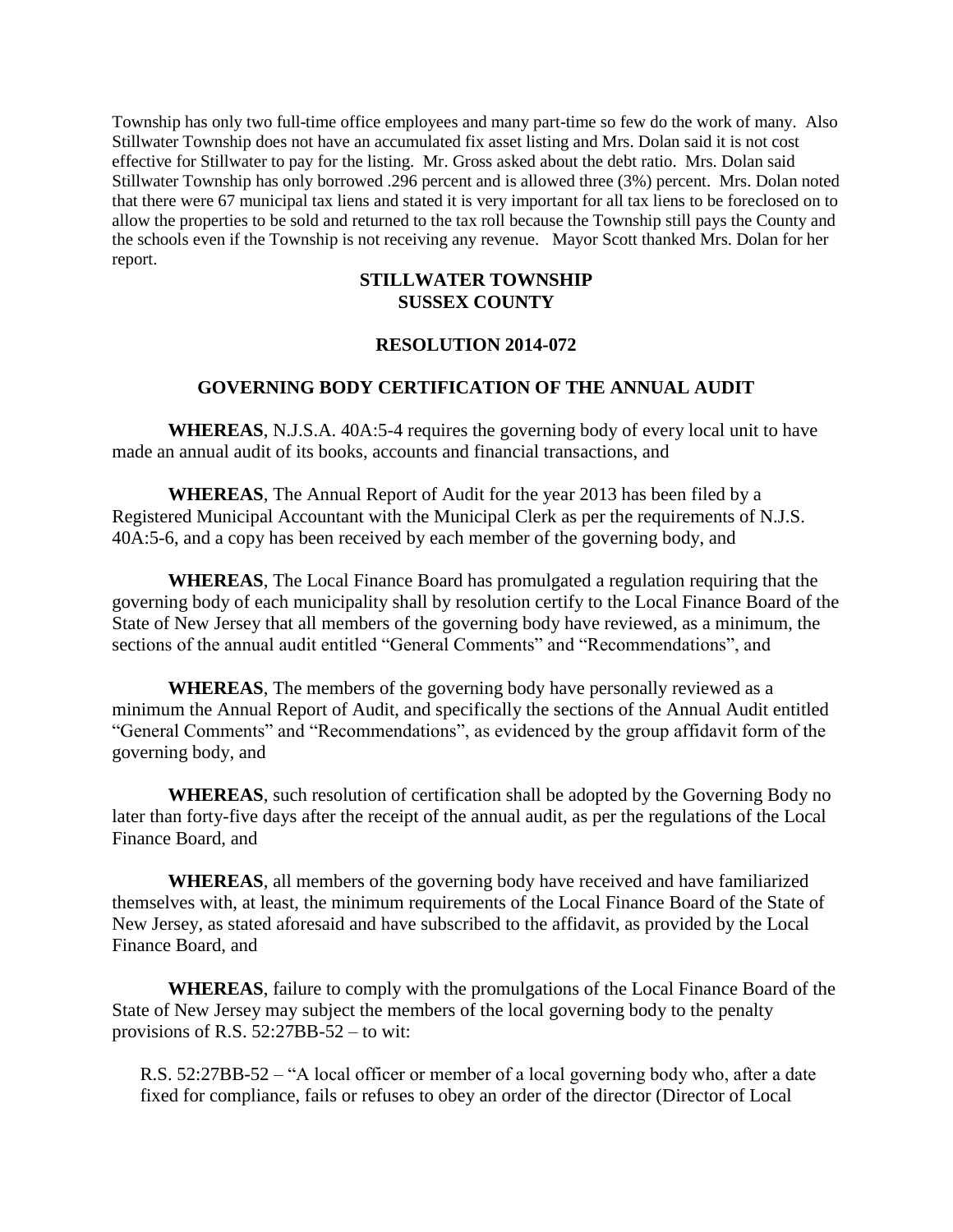Township has only two full-time office employees and many part-time so few do the work of many. Also Stillwater Township does not have an accumulated fix asset listing and Mrs. Dolan said it is not cost effective for Stillwater to pay for the listing. Mr. Gross asked about the debt ratio. Mrs. Dolan said Stillwater Township has only borrowed .296 percent and is allowed three (3%) percent. Mrs. Dolan noted that there were 67 municipal tax liens and stated it is very important for all tax liens to be foreclosed on to allow the properties to be sold and returned to the tax roll because the Township still pays the County and the schools even if the Township is not receiving any revenue. Mayor Scott thanked Mrs. Dolan for her report.

### **STILLWATER TOWNSHIP SUSSEX COUNTY**

### **RESOLUTION 2014-072**

## **GOVERNING BODY CERTIFICATION OF THE ANNUAL AUDIT**

**WHEREAS**, N.J.S.A. 40A:5-4 requires the governing body of every local unit to have made an annual audit of its books, accounts and financial transactions, and

**WHEREAS**, The Annual Report of Audit for the year 2013 has been filed by a Registered Municipal Accountant with the Municipal Clerk as per the requirements of N.J.S. 40A:5-6, and a copy has been received by each member of the governing body, and

**WHEREAS**, The Local Finance Board has promulgated a regulation requiring that the governing body of each municipality shall by resolution certify to the Local Finance Board of the State of New Jersey that all members of the governing body have reviewed, as a minimum, the sections of the annual audit entitled "General Comments" and "Recommendations", and

**WHEREAS**, The members of the governing body have personally reviewed as a minimum the Annual Report of Audit, and specifically the sections of the Annual Audit entitled "General Comments" and "Recommendations", as evidenced by the group affidavit form of the governing body, and

**WHEREAS**, such resolution of certification shall be adopted by the Governing Body no later than forty-five days after the receipt of the annual audit, as per the regulations of the Local Finance Board, and

**WHEREAS**, all members of the governing body have received and have familiarized themselves with, at least, the minimum requirements of the Local Finance Board of the State of New Jersey, as stated aforesaid and have subscribed to the affidavit, as provided by the Local Finance Board, and

**WHEREAS**, failure to comply with the promulgations of the Local Finance Board of the State of New Jersey may subject the members of the local governing body to the penalty provisions of R.S. 52:27BB-52 – to wit:

R.S. 52:27BB-52 – "A local officer or member of a local governing body who, after a date fixed for compliance, fails or refuses to obey an order of the director (Director of Local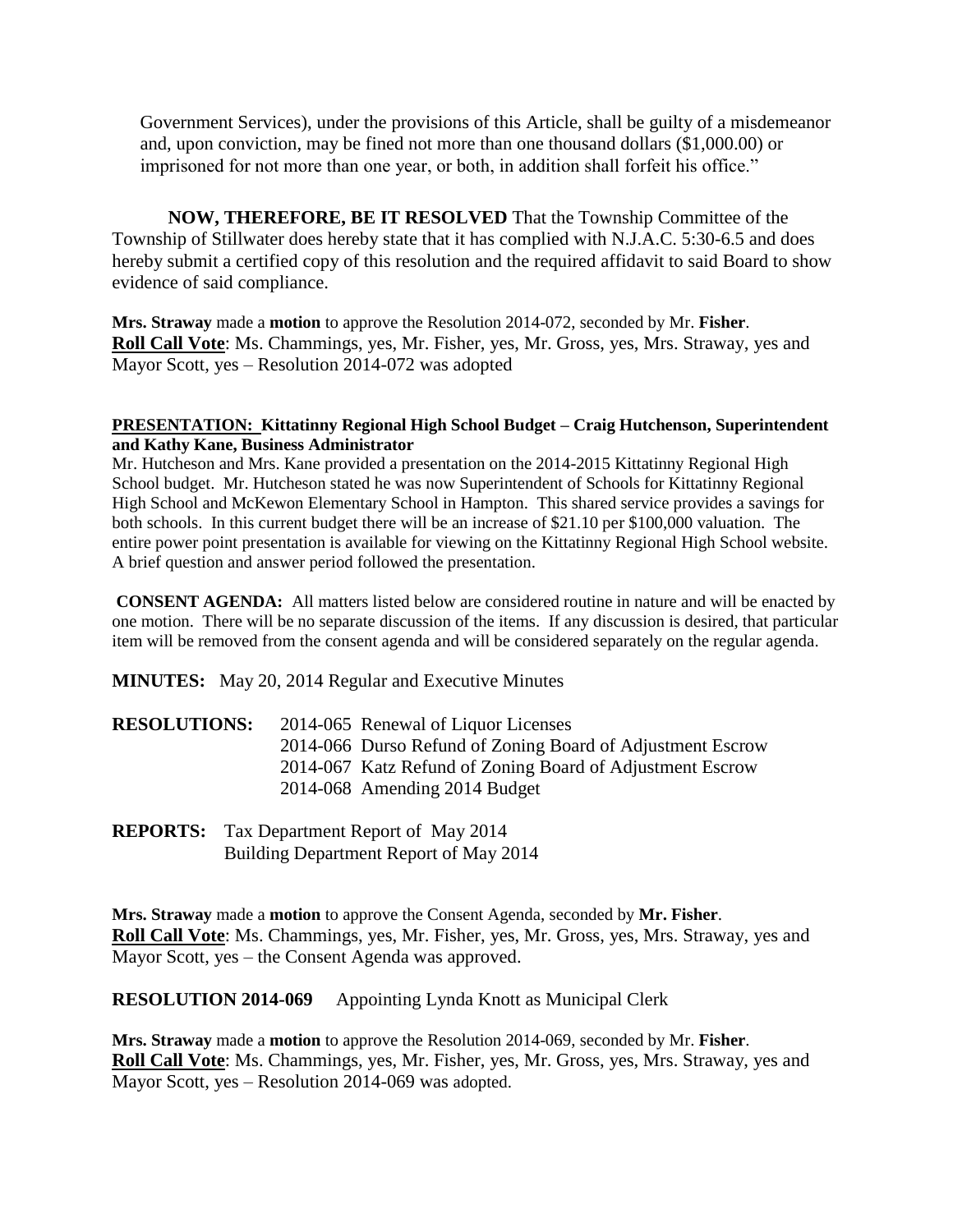Government Services), under the provisions of this Article, shall be guilty of a misdemeanor and, upon conviction, may be fined not more than one thousand dollars (\$1,000.00) or imprisoned for not more than one year, or both, in addition shall forfeit his office."

**NOW, THEREFORE, BE IT RESOLVED** That the Township Committee of the Township of Stillwater does hereby state that it has complied with N.J.A.C. 5:30-6.5 and does hereby submit a certified copy of this resolution and the required affidavit to said Board to show evidence of said compliance.

**Mrs. Straway** made a **motion** to approve the Resolution 2014-072, seconded by Mr. **Fisher**. **Roll Call Vote**: Ms. Chammings, yes, Mr. Fisher, yes, Mr. Gross, yes, Mrs. Straway, yes and Mayor Scott, yes – Resolution 2014-072 was adopted

### **PRESENTATION: Kittatinny Regional High School Budget – Craig Hutchenson, Superintendent and Kathy Kane, Business Administrator**

Mr. Hutcheson and Mrs. Kane provided a presentation on the 2014-2015 Kittatinny Regional High School budget. Mr. Hutcheson stated he was now Superintendent of Schools for Kittatinny Regional High School and McKewon Elementary School in Hampton. This shared service provides a savings for both schools. In this current budget there will be an increase of \$21.10 per \$100,000 valuation. The entire power point presentation is available for viewing on the Kittatinny Regional High School website. A brief question and answer period followed the presentation.

**CONSENT AGENDA:** All matters listed below are considered routine in nature and will be enacted by one motion. There will be no separate discussion of the items. If any discussion is desired, that particular item will be removed from the consent agenda and will be considered separately on the regular agenda.

**MINUTES:** May 20, 2014 Regular and Executive Minutes

| <b>RESOLUTIONS:</b> | 2014-065 Renewal of Liquor Licenses                        |
|---------------------|------------------------------------------------------------|
|                     | 2014-066 Durso Refund of Zoning Board of Adjustment Escrow |
|                     | 2014-067 Katz Refund of Zoning Board of Adjustment Escrow  |
|                     | 2014-068 Amending 2014 Budget                              |

**REPORTS:** Tax Department Report of May 2014 Building Department Report of May 2014

**Mrs. Straway** made a **motion** to approve the Consent Agenda, seconded by **Mr. Fisher**. **Roll Call Vote**: Ms. Chammings, yes, Mr. Fisher, yes, Mr. Gross, yes, Mrs. Straway, yes and Mayor Scott, yes – the Consent Agenda was approved.

**RESOLUTION 2014-069** Appointing Lynda Knott as Municipal Clerk

**Mrs. Straway** made a **motion** to approve the Resolution 2014-069, seconded by Mr. **Fisher**. **Roll Call Vote**: Ms. Chammings, yes, Mr. Fisher, yes, Mr. Gross, yes, Mrs. Straway, yes and Mayor Scott, yes – Resolution 2014-069 was adopted.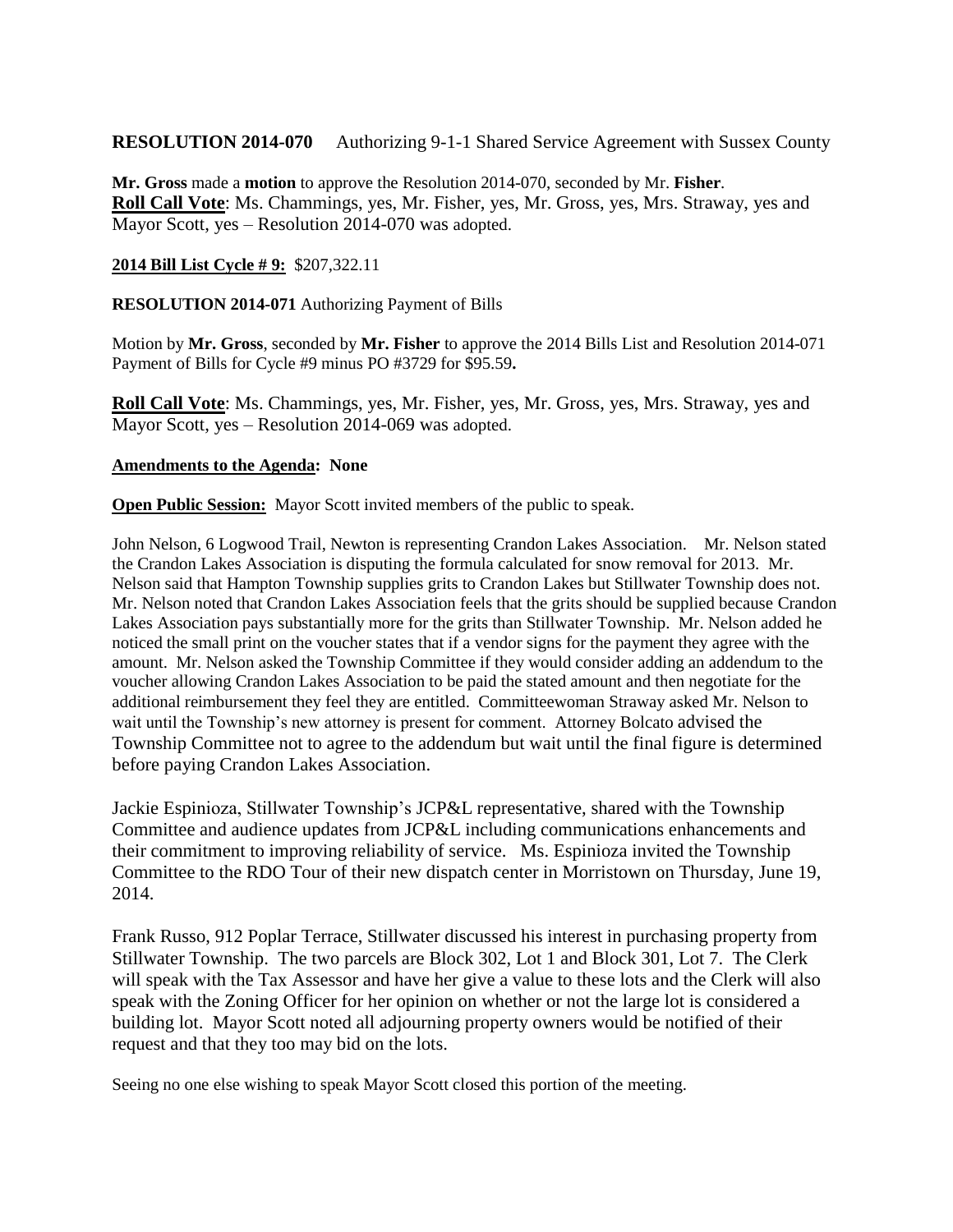**RESOLUTION 2014-070** Authorizing 9-1-1 Shared Service Agreement with Sussex County

**Mr. Gross** made a **motion** to approve the Resolution 2014-070, seconded by Mr. **Fisher**. **Roll Call Vote**: Ms. Chammings, yes, Mr. Fisher, yes, Mr. Gross, yes, Mrs. Straway, yes and Mayor Scott, yes – Resolution 2014-070 was adopted.

### **2014 Bill List Cycle # 9:** \$207,322.11

**RESOLUTION 2014-071** Authorizing Payment of Bills

Motion by **Mr. Gross**, seconded by **Mr. Fisher** to approve the 2014 Bills List and Resolution 2014-071 Payment of Bills for Cycle #9 minus PO #3729 for \$95.59**.**

**Roll Call Vote**: Ms. Chammings, yes, Mr. Fisher, yes, Mr. Gross, yes, Mrs. Straway, yes and Mayor Scott, yes – Resolution 2014-069 was adopted.

### **Amendments to the Agenda: None**

**Open Public Session:** Mayor Scott invited members of the public to speak.

John Nelson, 6 Logwood Trail, Newton is representing Crandon Lakes Association. Mr. Nelson stated the Crandon Lakes Association is disputing the formula calculated for snow removal for 2013. Mr. Nelson said that Hampton Township supplies grits to Crandon Lakes but Stillwater Township does not. Mr. Nelson noted that Crandon Lakes Association feels that the grits should be supplied because Crandon Lakes Association pays substantially more for the grits than Stillwater Township. Mr. Nelson added he noticed the small print on the voucher states that if a vendor signs for the payment they agree with the amount. Mr. Nelson asked the Township Committee if they would consider adding an addendum to the voucher allowing Crandon Lakes Association to be paid the stated amount and then negotiate for the additional reimbursement they feel they are entitled. Committeewoman Straway asked Mr. Nelson to wait until the Township's new attorney is present for comment. Attorney Bolcato advised the Township Committee not to agree to the addendum but wait until the final figure is determined before paying Crandon Lakes Association.

Jackie Espinioza, Stillwater Township's JCP&L representative, shared with the Township Committee and audience updates from JCP&L including communications enhancements and their commitment to improving reliability of service. Ms. Espinioza invited the Township Committee to the RDO Tour of their new dispatch center in Morristown on Thursday, June 19, 2014.

Frank Russo, 912 Poplar Terrace, Stillwater discussed his interest in purchasing property from Stillwater Township. The two parcels are Block 302, Lot 1 and Block 301, Lot 7. The Clerk will speak with the Tax Assessor and have her give a value to these lots and the Clerk will also speak with the Zoning Officer for her opinion on whether or not the large lot is considered a building lot. Mayor Scott noted all adjourning property owners would be notified of their request and that they too may bid on the lots.

Seeing no one else wishing to speak Mayor Scott closed this portion of the meeting.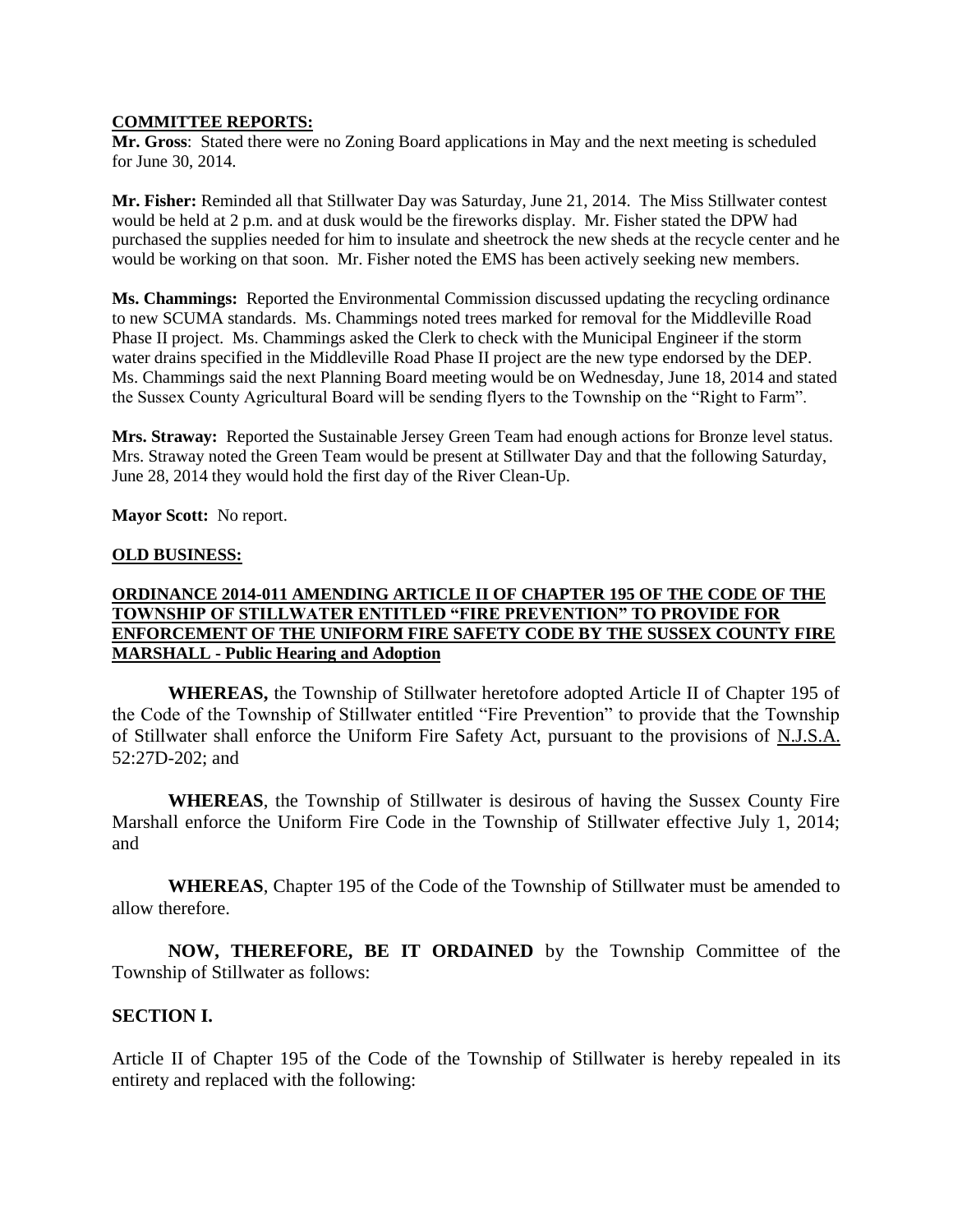#### **COMMITTEE REPORTS:**

**Mr. Gross**: Stated there were no Zoning Board applications in May and the next meeting is scheduled for June 30, 2014.

**Mr. Fisher:** Reminded all that Stillwater Day was Saturday, June 21, 2014. The Miss Stillwater contest would be held at 2 p.m. and at dusk would be the fireworks display. Mr. Fisher stated the DPW had purchased the supplies needed for him to insulate and sheetrock the new sheds at the recycle center and he would be working on that soon. Mr. Fisher noted the EMS has been actively seeking new members.

**Ms. Chammings:** Reported the Environmental Commission discussed updating the recycling ordinance to new SCUMA standards. Ms. Chammings noted trees marked for removal for the Middleville Road Phase II project. Ms. Chammings asked the Clerk to check with the Municipal Engineer if the storm water drains specified in the Middleville Road Phase II project are the new type endorsed by the DEP. Ms. Chammings said the next Planning Board meeting would be on Wednesday, June 18, 2014 and stated the Sussex County Agricultural Board will be sending flyers to the Township on the "Right to Farm".

**Mrs. Straway:** Reported the Sustainable Jersey Green Team had enough actions for Bronze level status. Mrs. Straway noted the Green Team would be present at Stillwater Day and that the following Saturday, June 28, 2014 they would hold the first day of the River Clean-Up.

**Mayor Scott:** No report.

#### **OLD BUSINESS:**

### **ORDINANCE 2014-011 AMENDING ARTICLE II OF CHAPTER 195 OF THE CODE OF THE TOWNSHIP OF STILLWATER ENTITLED "FIRE PREVENTION" TO PROVIDE FOR ENFORCEMENT OF THE UNIFORM FIRE SAFETY CODE BY THE SUSSEX COUNTY FIRE MARSHALL - Public Hearing and Adoption**

**WHEREAS,** the Township of Stillwater heretofore adopted Article II of Chapter 195 of the Code of the Township of Stillwater entitled "Fire Prevention" to provide that the Township of Stillwater shall enforce the Uniform Fire Safety Act, pursuant to the provisions of N.J.S.A. 52:27D-202; and

**WHEREAS**, the Township of Stillwater is desirous of having the Sussex County Fire Marshall enforce the Uniform Fire Code in the Township of Stillwater effective July 1, 2014; and

**WHEREAS**, Chapter 195 of the Code of the Township of Stillwater must be amended to allow therefore.

**NOW, THEREFORE, BE IT ORDAINED** by the Township Committee of the Township of Stillwater as follows:

### **SECTION I.**

Article II of Chapter 195 of the Code of the Township of Stillwater is hereby repealed in its entirety and replaced with the following: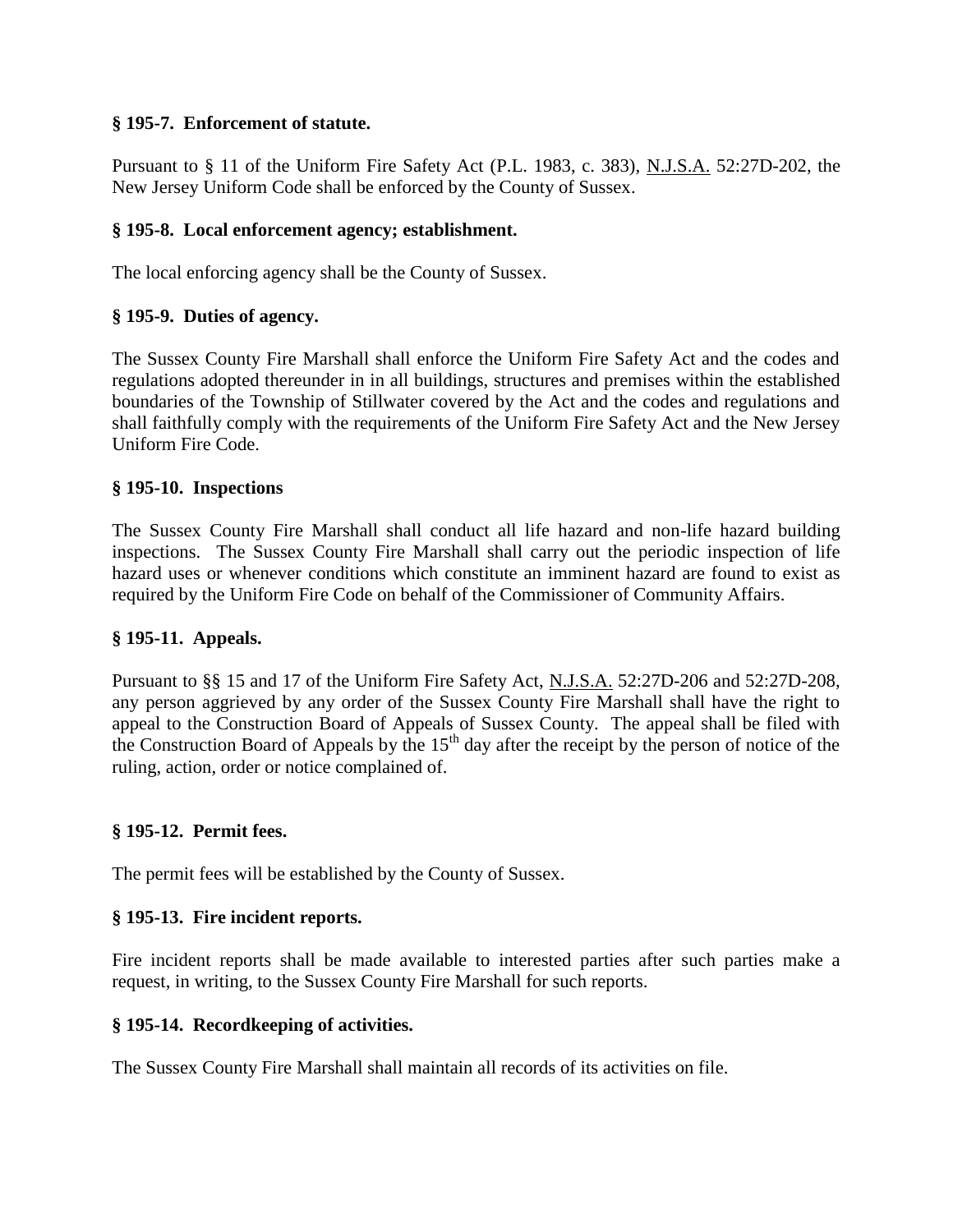# **§ 195-7. Enforcement of statute.**

Pursuant to § 11 of the Uniform Fire Safety Act (P.L. 1983, c. 383), N.J.S.A. 52:27D-202, the New Jersey Uniform Code shall be enforced by the County of Sussex.

# **§ 195-8. Local enforcement agency; establishment.**

The local enforcing agency shall be the County of Sussex.

# **§ 195-9. Duties of agency.**

The Sussex County Fire Marshall shall enforce the Uniform Fire Safety Act and the codes and regulations adopted thereunder in in all buildings, structures and premises within the established boundaries of the Township of Stillwater covered by the Act and the codes and regulations and shall faithfully comply with the requirements of the Uniform Fire Safety Act and the New Jersey Uniform Fire Code.

## **§ 195-10. Inspections**

The Sussex County Fire Marshall shall conduct all life hazard and non-life hazard building inspections. The Sussex County Fire Marshall shall carry out the periodic inspection of life hazard uses or whenever conditions which constitute an imminent hazard are found to exist as required by the Uniform Fire Code on behalf of the Commissioner of Community Affairs.

# **§ 195-11. Appeals.**

Pursuant to §§ 15 and 17 of the Uniform Fire Safety Act, N.J.S.A. 52:27D-206 and 52:27D-208, any person aggrieved by any order of the Sussex County Fire Marshall shall have the right to appeal to the Construction Board of Appeals of Sussex County. The appeal shall be filed with the Construction Board of Appeals by the  $15<sup>th</sup>$  day after the receipt by the person of notice of the ruling, action, order or notice complained of.

## **§ 195-12. Permit fees.**

The permit fees will be established by the County of Sussex.

## **§ 195-13. Fire incident reports.**

Fire incident reports shall be made available to interested parties after such parties make a request, in writing, to the Sussex County Fire Marshall for such reports.

## **§ 195-14. Recordkeeping of activities.**

The Sussex County Fire Marshall shall maintain all records of its activities on file.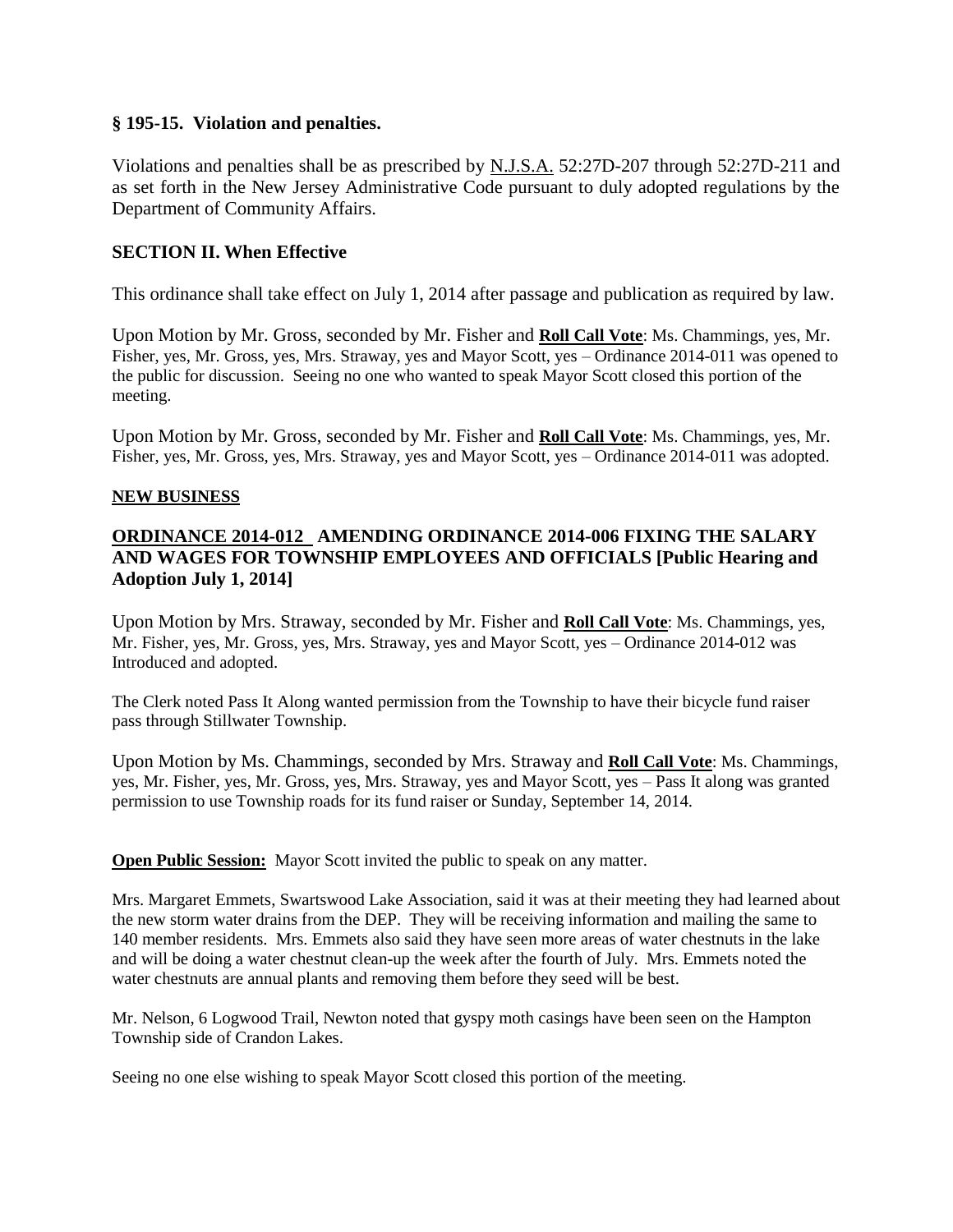## **§ 195-15. Violation and penalties.**

Violations and penalties shall be as prescribed by N.J.S.A. 52:27D-207 through 52:27D-211 and as set forth in the New Jersey Administrative Code pursuant to duly adopted regulations by the Department of Community Affairs.

# **SECTION II. When Effective**

This ordinance shall take effect on July 1, 2014 after passage and publication as required by law.

Upon Motion by Mr. Gross, seconded by Mr. Fisher and **Roll Call Vote**: Ms. Chammings, yes, Mr. Fisher, yes, Mr. Gross, yes, Mrs. Straway, yes and Mayor Scott, yes – Ordinance 2014-011 was opened to the public for discussion. Seeing no one who wanted to speak Mayor Scott closed this portion of the meeting.

Upon Motion by Mr. Gross, seconded by Mr. Fisher and **Roll Call Vote**: Ms. Chammings, yes, Mr. Fisher, yes, Mr. Gross, yes, Mrs. Straway, yes and Mayor Scott, yes – Ordinance 2014-011 was adopted.

### **NEW BUSINESS**

# **ORDINANCE 2014-012 AMENDING ORDINANCE 2014-006 FIXING THE SALARY AND WAGES FOR TOWNSHIP EMPLOYEES AND OFFICIALS [Public Hearing and Adoption July 1, 2014]**

Upon Motion by Mrs. Straway, seconded by Mr. Fisher and **Roll Call Vote**: Ms. Chammings, yes, Mr. Fisher, yes, Mr. Gross, yes, Mrs. Straway, yes and Mayor Scott, yes – Ordinance 2014-012 was Introduced and adopted.

The Clerk noted Pass It Along wanted permission from the Township to have their bicycle fund raiser pass through Stillwater Township.

Upon Motion by Ms. Chammings, seconded by Mrs. Straway and **Roll Call Vote**: Ms. Chammings, yes, Mr. Fisher, yes, Mr. Gross, yes, Mrs. Straway, yes and Mayor Scott, yes – Pass It along was granted permission to use Township roads for its fund raiser or Sunday, September 14, 2014.

### **Open Public Session:** Mayor Scott invited the public to speak on any matter.

Mrs. Margaret Emmets, Swartswood Lake Association, said it was at their meeting they had learned about the new storm water drains from the DEP. They will be receiving information and mailing the same to 140 member residents. Mrs. Emmets also said they have seen more areas of water chestnuts in the lake and will be doing a water chestnut clean-up the week after the fourth of July. Mrs. Emmets noted the water chestnuts are annual plants and removing them before they seed will be best.

Mr. Nelson, 6 Logwood Trail, Newton noted that gyspy moth casings have been seen on the Hampton Township side of Crandon Lakes.

Seeing no one else wishing to speak Mayor Scott closed this portion of the meeting.